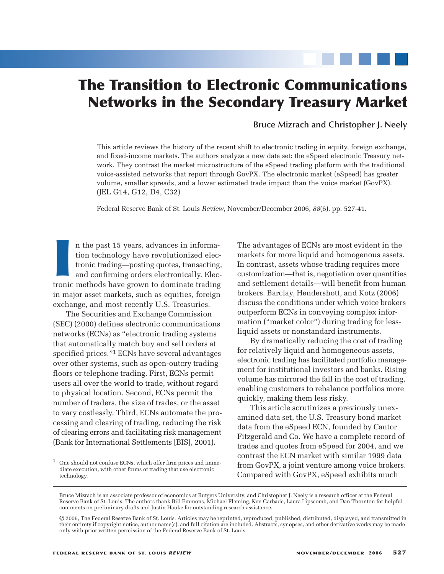# **The Transition to Electronic Communications Networks in the Secondary Treasury Market**

### **Bruce Mizrach and Christopher J. Neely**

This article reviews the history of the recent shift to electronic trading in equity, foreign exchange, and fixed-income markets. The authors analyze a new data set: the eSpeed electronic Treasury network. They contrast the market microstructure of the eSpeed trading platform with the traditional voice-assisted networks that report through GovPX. The electronic market (eSpeed) has greater volume, smaller spreads, and a lower estimated trade impact than the voice market (GovPX). (JEL G14, G12, D4, C32)

Federal Reserve Bank of St. Louis *Review*, November/December 2006, *88*(6), pp. 527-41.

In the past 15 years, advances in information technology have revolutionized electronic trading—posting quotes, transacting and confirming orders electronically. Electronic methods have grown to dominate trading n the past 15 years, advances in information technology have revolutionized electronic trading—posting quotes, transacting, and confirming orders electronically. Elecin major asset markets, such as equities, foreign exchange, and most recently U.S. Treasuries.

The Securities and Exchange Commission (SEC) (2000) defines electronic communications networks (ECNs) as "electronic trading systems that automatically match buy and sell orders at specified prices."1 ECNs have several advantages over other systems, such as open-outcry trading floors or telephone trading. First, ECNs permit users all over the world to trade, without regard to physical location. Second, ECNs permit the number of traders, the size of trades, or the asset to vary costlessly. Third, ECNs automate the processing and clearing of trading, reducing the risk of clearing errors and facilitating risk management (Bank for International Settlements [BIS], 2001).

The advantages of ECNs are most evident in the markets for more liquid and homogenous assets. In contrast, assets whose trading requires more customization—that is, negotiation over quantities and settlement details—will benefit from human brokers. Barclay, Hendershott, and Kotz (2006) discuss the conditions under which voice brokers outperform ECNs in conveying complex information ("market color") during trading for lessliquid assets or nonstandard instruments.

By dramatically reducing the cost of trading for relatively liquid and homogeneous assets, electronic trading has facilitated portfolio management for institutional investors and banks. Rising volume has mirrored the fall in the cost of trading, enabling customers to rebalance portfolios more quickly, making them less risky.

This article scrutinizes a previously unexamined data set, the U.S. Treasury bond market data from the eSpeed ECN, founded by Cantor Fitzgerald and Co. We have a complete record of trades and quotes from eSpeed for 2004, and we contrast the ECN market with similar 1999 data from GovPX, a joint venture among voice brokers. Compared with GovPX, eSpeed exhibits much

<sup>1</sup> One should not confuse ECNs, which offer firm prices and immediate execution, with other forms of trading that use electronic technology.

Bruce Mizrach is an associate professor of economics at Rutgers University, and Christopher J. Neely is a research officer at the Federal Reserve Bank of St. Louis. The authors thank Bill Emmons, Michael Fleming, Ken Garbade, Laura Lipscomb, and Dan Thornton for helpful comments on preliminary drafts and Justin Hauke for outstanding research assistance.

<sup>©</sup> 2006, The Federal Reserve Bank of St. Louis. Articles may be reprinted, reproduced, published, distributed, displayed, and transmitted in their entirety if copyright notice, author name(s), and full citation are included. Abstracts, synopses, and other derivative works may be made only with prior written permission of the Federal Reserve Bank of St. Louis.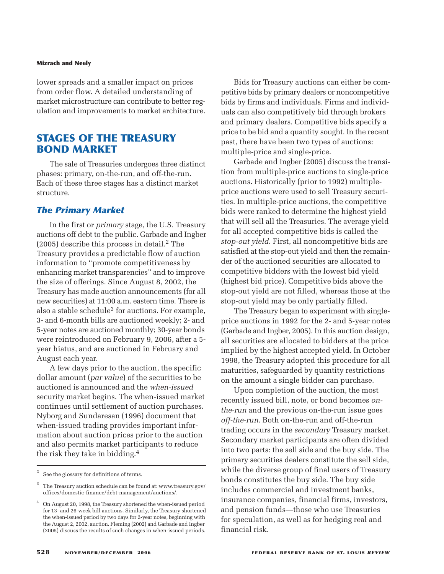lower spreads and a smaller impact on prices from order flow. A detailed understanding of market microstructure can contribute to better regulation and improvements to market architecture.

# **STAGES OF THE TREASURY BOND MARKET**

The sale of Treasuries undergoes three distinct phases: primary, on-the-run, and off-the-run. Each of these three stages has a distinct market structure.

### *The Primary Market*

In the first or *primary* stage, the U.S. Treasury auctions off debt to the public. Garbade and Ingber (2005) describe this process in detail.2 The Treasury provides a predictable flow of auction information to "promote competitiveness by enhancing market transparencies" and to improve the size of offerings. Since August 8, 2002, the Treasury has made auction announcements (for all new securities) at 11:00 a.m. eastern time. There is also a stable schedule<sup>3</sup> for auctions. For example, 3- and 6-month bills are auctioned weekly; 2- and 5-year notes are auctioned monthly; 30-year bonds were reintroduced on February 9, 2006, after a 5 year hiatus, and are auctioned in February and August each year.

A few days prior to the auction, the specific dollar amount (*par value*) of the securities to be auctioned is announced and the *when-issued* security market begins. The when-issued market continues until settlement of auction purchases. Nyborg and Sundaresan (1996) document that when-issued trading provides important information about auction prices prior to the auction and also permits market participants to reduce the risk they take in bidding.4

Bids for Treasury auctions can either be competitive bids by primary dealers or noncompetitive bids by firms and individuals. Firms and individuals can also competitively bid through brokers and primary dealers. Competitive bids specify a price to be bid and a quantity sought. In the recent past, there have been two types of auctions: multiple-price and single-price.

Garbade and Ingber (2005) discuss the transition from multiple-price auctions to single-price auctions. Historically (prior to 1992) multipleprice auctions were used to sell Treasury securities. In multiple-price auctions, the competitive bids were ranked to determine the highest yield that will sell all the Treasuries. The average yield for all accepted competitive bids is called the *stop-out yield*. First, all noncompetitive bids are satisfied at the stop-out yield and then the remainder of the auctioned securities are allocated to competitive bidders with the lowest bid yield (highest bid price). Competitive bids above the stop-out yield are not filled, whereas those at the stop-out yield may be only partially filled.

The Treasury began to experiment with singleprice auctions in 1992 for the 2- and 5-year notes (Garbade and Ingber, 2005). In this auction design, all securities are allocated to bidders at the price implied by the highest accepted yield. In October 1998, the Treasury adopted this procedure for all maturities, safeguarded by quantity restrictions on the amount a single bidder can purchase.

Upon completion of the auction, the most recently issued bill, note, or bond becomes *onthe-run* and the previous on-the-run issue goes *off-the-run*. Both on-the-run and off-the-run trading occurs in the *secondary* Treasury market. Secondary market participants are often divided into two parts: the sell side and the buy side. The primary securities dealers constitute the sell side, while the diverse group of final users of Treasury bonds constitutes the buy side. The buy side includes commercial and investment banks, insurance companies, financial firms, investors, and pension funds—those who use Treasuries for speculation, as well as for hedging real and financial risk.

See the glossary for definitions of terms.

<sup>3</sup> The Treasury auction schedule can be found at: www.treasury.gov/ offices/domestic-finance/debt-management/auctions/.

<sup>4</sup> On August 20, 1998, the Treasury shortened the when-issued period for 13- and 26-week bill auctions. Similarly, the Treasury shortened the when-issued period by two days for 2-year notes, beginning with the August 2, 2002, auction. Fleming (2002) and Garbade and Ingber (2005) discuss the results of such changes in when-issued periods.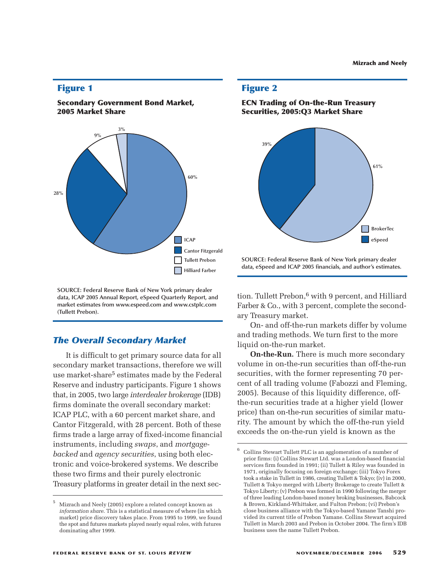### **Figure 1**





**SOURCE: Federal Reserve Bank of New York primary dealer data, ICAP 2005 Annual Report, eSpeed Quarterly Report, and market estimates from www.espeed.com and www.cstplc.com (Tullett Prebon).**

### *The Overall Secondary Market*

It is difficult to get primary source data for all secondary market transactions, therefore we will use market-share<sup>5</sup> estimates made by the Federal Reserve and industry participants. Figure 1 shows that, in 2005, two large *interdealer brokerage* (IDB) firms dominate the overall secondary market: ICAP PLC, with a 60 percent market share, and Cantor Fitzgerald, with 28 percent. Both of these firms trade a large array of fixed-income financial instruments, including *swaps*, and *mortgagebacked* and *agency securities*, using both electronic and voice-brokered systems. We describe these two firms and their purely electronic Treasury platforms in greater detail in the next sec-

### **Figure 2**





**SOURCE: Federal Reserve Bank of New York primary dealer data, eSpeed and ICAP 2005 financials, and author's estimates.**

tion. Tullett Prebon,<sup>6</sup> with 9 percent, and Hilliard Farber & Co., with 3 percent, complete the secondary Treasury market.

On- and off-the-run markets differ by volume and trading methods. We turn first to the more liquid on-the-run market.

**On-the-Run.** There is much more secondary volume in on-the-run securities than off-the-run securities, with the former representing 70 percent of all trading volume (Fabozzi and Fleming, 2005). Because of this liquidity difference, offthe-run securities trade at a higher yield (lower price) than on-the-run securities of similar maturity. The amount by which the off-the-run yield exceeds the on-the-run yield is known as the

<sup>5</sup> Mizrach and Neely (2005) explore a related concept known as *information share*. This is a statistical measure of where (in which market) price discovery takes place. From 1995 to 1999, we found the spot and futures markets played nearly equal roles, with futures dominating after 1999.

<sup>6</sup> Collins Stewart Tullett PLC is an agglomeration of a number of prior firms: (i) Collins Stewart Ltd. was a London-based financial services firm founded in 1991; (ii) Tullett & Riley was founded in 1971, originally focusing on foreign exchange; (iii) Tokyo Forex took a stake in Tullett in 1986, creating Tullett & Tokyo; (iv) in 2000, Tullett & Tokyo merged with Liberty Brokerage to create Tullett & Tokyo Liberty; (v) Prebon was formed in 1990 following the merger of three leading London-based money broking businesses, Babcock & Brown, Kirkland-Whittaker, and Fulton Prebon; (vi) Prebon's close business alliance with the Tokyo-based Yamane Tanshi provided its current title of Prebon Yamane. Collins Stewart acquired Tullett in March 2003 and Prebon in October 2004. The firm's IDB business uses the name Tullett Prebon.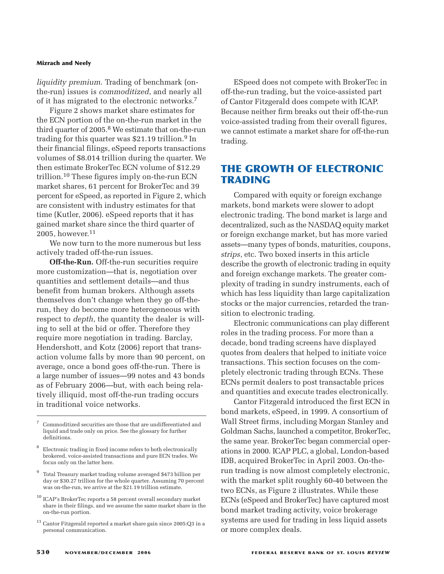*liquidity premium*. Trading of benchmark (onthe-run) issues is *commoditized*, and nearly all of it has migrated to the electronic networks.7

Figure 2 shows market share estimates for the ECN portion of the on-the-run market in the third quarter of 2005.<sup>8</sup> We estimate that on-the-run trading for this quarter was \$21.19 trillion.<sup>9</sup> In their financial filings, eSpeed reports transactions volumes of \$8.014 trillion during the quarter. We then estimate BrokerTec ECN volume of \$12.29 trillion.10 These figures imply on-the-run ECN market shares, 61 percent for BrokerTec and 39 percent for eSpeed, as reported in Figure 2, which are consistent with industry estimates for that time (Kutler, 2006). eSpeed reports that it has gained market share since the third quarter of  $2005$ , however.<sup>11</sup>

We now turn to the more numerous but less actively traded off-the-run issues.

**Off-the-Run.** Off-the-run securities require more customization—that is, negotiation over quantities and settlement details—and thus benefit from human brokers. Although assets themselves don't change when they go off-therun, they do become more heterogeneous with respect to *depth*, the quantity the dealer is willing to sell at the bid or offer. Therefore they require more negotiation in trading. Barclay, Hendershott, and Kotz (2006) report that transaction volume falls by more than 90 percent, on average, once a bond goes off-the-run. There is a large number of issues—99 notes and 43 bonds as of February 2006—but, with each being relatively illiquid, most off-the-run trading occurs in traditional voice networks.

ESpeed does not compete with BrokerTec in off-the-run trading, but the voice-assisted part of Cantor Fitzgerald does compete with ICAP. Because neither firm breaks out their off-the-run voice-assisted trading from their overall figures, we cannot estimate a market share for off-the-run trading.

# **THE GROWTH OF ELECTRONIC TRADING**

Compared with equity or foreign exchange markets, bond markets were slower to adopt electronic trading. The bond market is large and decentralized, such as the NASDAQ equity market or foreign exchange market, but has more varied assets—many types of bonds, maturities, coupons, *strips*, etc. Two boxed inserts in this article describe the growth of electronic trading in equity and foreign exchange markets. The greater complexity of trading in sundry instruments, each of which has less liquidity than large capitalization stocks or the major currencies, retarded the transition to electronic trading.

Electronic communications can play different roles in the trading process. For more than a decade, bond trading screens have displayed quotes from dealers that helped to initiate voice transactions. This section focuses on the completely electronic trading through ECNs. These ECNs permit dealers to post transactable prices and quantities and execute trades electronically.

Cantor Fitzgerald introduced the first ECN in bond markets, eSpeed, in 1999. A consortium of Wall Street firms, including Morgan Stanley and Goldman Sachs, launched a competitor, BrokerTec, the same year. BrokerTec began commercial operations in 2000. ICAP PLC, a global, London-based IDB, acquired BrokerTec in April 2003. On-therun trading is now almost completely electronic, with the market split roughly 60-40 between the two ECNs, as Figure 2 illustrates. While these ECNs (eSpeed and BrokerTec) have captured most bond market trading activity, voice brokerage systems are used for trading in less liquid assets or more complex deals.

<sup>7</sup> Commoditized securities are those that are undifferentiated and liquid and trade only on price. See the glossary for further definitions.

<sup>8</sup> Electronic trading in fixed income refers to both electronically brokered, voice-assisted transactions and pure ECN trades. We focus only on the latter here.

<sup>9</sup> Total Treasury market trading volume averaged \$473 billion per day or \$30.27 trillion for the whole quarter. Assuming 70 percent was on-the-run, we arrive at the \$21.19 trillion estimate.

ICAP's BrokerTec reports a 58 percent overall secondary market share in their filings, and we assume the same market share in the on-the-run portion.

 $^{11}$  Cantor Fitzgerald reported a market share gain since 2005:Q3 in a personal communication.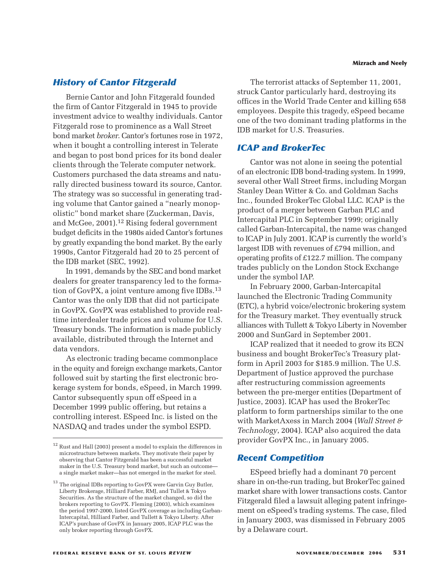### *History of Cantor Fitzgerald*

Bernie Cantor and John Fitzgerald founded the firm of Cantor Fitzgerald in 1945 to provide investment advice to wealthy individuals. Cantor Fitzgerald rose to prominence as a Wall Street bond market *broker*. Cantor's fortunes rose in 1972, when it bought a controlling interest in Telerate and began to post bond prices for its bond dealer clients through the Telerate computer network. Customers purchased the data streams and naturally directed business toward its source, Cantor. The strategy was so successful in generating trading volume that Cantor gained a "nearly monopolistic" bond market share (Zuckerman, Davis, and McGee, 2001).12 Rising federal government budget deficits in the 1980s aided Cantor's fortunes by greatly expanding the bond market. By the early 1990s, Cantor Fitzgerald had 20 to 25 percent of the IDB market (SEC, 1992).

In 1991, demands by the SEC and bond market dealers for greater transparency led to the formation of GovPX, a joint venture among five IDBs.13 Cantor was the only IDB that did not participate in GovPX. GovPX was established to provide realtime interdealer trade prices and volume for U.S. Treasury bonds. The information is made publicly available, distributed through the Internet and data vendors.

As electronic trading became commonplace in the equity and foreign exchange markets, Cantor followed suit by starting the first electronic brokerage system for bonds, eSpeed, in March 1999. Cantor subsequently spun off eSpeed in a December 1999 public offering, but retains a controlling interest. ESpeed Inc. is listed on the NASDAQ and trades under the symbol ESPD.

The terrorist attacks of September 11, 2001, struck Cantor particularly hard, destroying its offices in the World Trade Center and killing 658 employees. Despite this tragedy, eSpeed became one of the two dominant trading platforms in the IDB market for U.S. Treasuries.

### *ICAP and BrokerTec*

Cantor was not alone in seeing the potential of an electronic IDB bond-trading system. In 1999, several other Wall Street firms, including Morgan Stanley Dean Witter & Co. and Goldman Sachs Inc., founded BrokerTec Global LLC. ICAP is the product of a merger between Garban PLC and Intercapital PLC in September 1999; originally called Garban-Intercapital, the name was changed to ICAP in July 2001. ICAP is currently the world's largest IDB with revenues of £794 million, and operating profits of £122.7 million. The company trades publicly on the London Stock Exchange under the symbol IAP.

In February 2000, Garban-Intercapital launched the Electronic Trading Community (ETC), a hybrid voice/electronic brokering system for the Treasury market. They eventually struck alliances with Tullett & Tokyo Liberty in November 2000 and SunGard in September 2001.

ICAP realized that it needed to grow its ECN business and bought BrokerTec's Treasury platform in April 2003 for \$185.9 million. The U.S. Department of Justice approved the purchase after restructuring commission agreements between the pre-merger entities (Department of Justice, 2003). ICAP has used the BrokerTec platform to form partnerships similar to the one with MarketAxess in March 2004 (*Wall Street & Technology*, 2004). ICAP also acquired the data provider GovPX Inc., in January 2005.

### *Recent Competition*

ESpeed briefly had a dominant 70 percent share in on-the-run trading, but BrokerTec gained market share with lower transactions costs. Cantor Fitzgerald filed a lawsuit alleging patent infringement on eSpeed's trading systems. The case, filed in January 2003, was dismissed in February 2005 by a Delaware court.

 $^\mathrm{12}$  Rust and Hall (2003) present a model to explain the differences in microstructure between markets. They motivate their paper by observing that Cantor Fitzgerald has been a successful market maker in the U.S. Treasury bond market, but such an outcome a single market maker—has not emerged in the market for steel.

 $^{13}$  The original IDBs reporting to GovPX were Garvin Guy Butler, Liberty Brokerage, Hilliard Farber, RMJ, and Tullet & Tokyo Securities. As the structure of the market changed, so did the brokers reporting to GovPX. Fleming (2003), which examines the period 1997-2000, listed GovPX coverage as including Garban-Intercapital, Hilliard Farber, and Tullett & Tokyo Liberty. After ICAP's purchase of GovPX in January 2005, ICAP PLC was the only broker reporting through GovPX.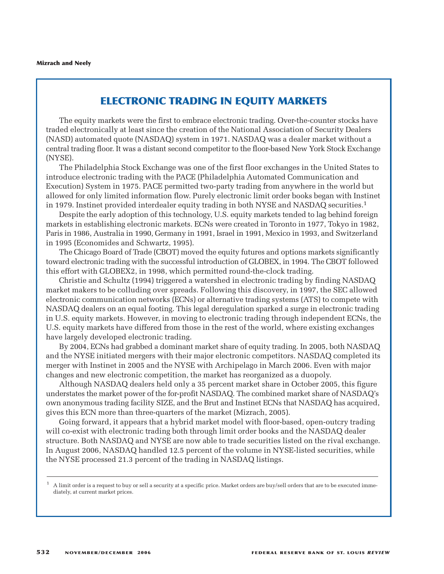# **ELECTRONIC TRADING IN EQUITY MARKETS**

The equity markets were the first to embrace electronic trading. Over-the-counter stocks have traded electronically at least since the creation of the National Association of Security Dealers (NASD) automated quote (NASDAQ) system in 1971. NASDAQ was a dealer market without a central trading floor. It was a distant second competitor to the floor-based New York Stock Exchange (NYSE).

The Philadelphia Stock Exchange was one of the first floor exchanges in the United States to introduce electronic trading with the PACE (Philadelphia Automated Communication and Execution) System in 1975. PACE permitted two-party trading from anywhere in the world but allowed for only limited information flow. Purely electronic limit order books began with Instinet in 1979. Instinet provided interdealer equity trading in both NYSE and NASDAQ securities.<sup>1</sup>

Despite the early adoption of this technology, U.S. equity markets tended to lag behind foreign markets in establishing electronic markets. ECNs were created in Toronto in 1977, Tokyo in 1982, Paris in 1986, Australia in 1990, Germany in 1991, Israel in 1991, Mexico in 1993, and Switzerland in 1995 (Economides and Schwartz, 1995).

The Chicago Board of Trade (CBOT) moved the equity futures and options markets significantly toward electronic trading with the successful introduction of GLOBEX, in 1994. The CBOT followed this effort with GLOBEX2, in 1998, which permitted round-the-clock trading.

Christie and Schultz (1994) triggered a watershed in electronic trading by finding NASDAQ market makers to be colluding over spreads. Following this discovery, in 1997, the SEC allowed electronic communication networks (ECNs) or alternative trading systems (ATS) to compete with NASDAQ dealers on an equal footing. This legal deregulation sparked a surge in electronic trading in U.S. equity markets. However, in moving to electronic trading through independent ECNs, the U.S. equity markets have differed from those in the rest of the world, where existing exchanges have largely developed electronic trading.

By 2004, ECNs had grabbed a dominant market share of equity trading. In 2005, both NASDAQ and the NYSE initiated mergers with their major electronic competitors. NASDAQ completed its merger with Instinet in 2005 and the NYSE with Archipelago in March 2006. Even with major changes and new electronic competition, the market has reorganized as a duopoly.

Although NASDAQ dealers held only a 35 percent market share in October 2005, this figure understates the market power of the for-profit NASDAQ. The combined market share of NASDAQ's own anonymous trading facility SIZE, and the Brut and Instinet ECNs that NASDAQ has acquired, gives this ECN more than three-quarters of the market (Mizrach, 2005).

Going forward, it appears that a hybrid market model with floor-based, open-outcry trading will co-exist with electronic trading both through limit order books and the NASDAQ dealer structure. Both NASDAQ and NYSE are now able to trade securities listed on the rival exchange. In August 2006, NASDAQ handled 12.5 percent of the volume in NYSE-listed securities, while the NYSE processed 21.3 percent of the trading in NASDAQ listings.

<sup>1</sup> A limit order is a request to buy or sell a security at a specific price. Market orders are buy/sell orders that are to be executed immediately, at current market prices.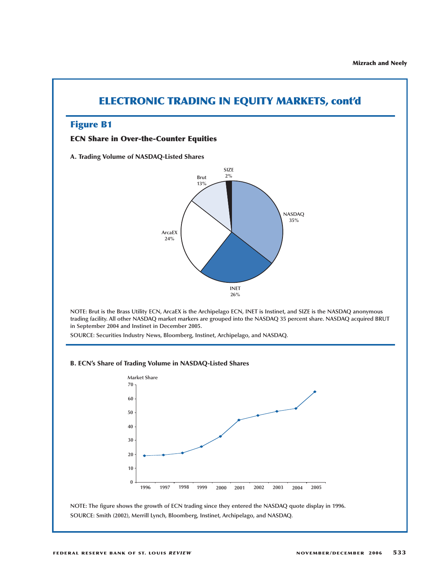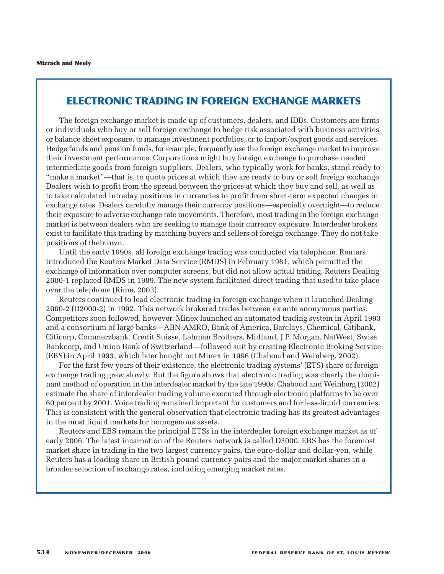# **ELECTRONIC TRADING IN FOREIGN EXCHANGE MARKETS**

The foreign exchange market is made up of customers, dealers, and IDBs. Customers are firms or individuals who buy or sell foreign exchange to hedge risk associated with business activities or balance sheet exposure, to manage investment portfolios, or to import/export goods and services. Hedge funds and pension funds, for example, frequently use the foreign exchange market to improve their investment performance. Corporations might buy foreign exchange to purchase needed intermediate goods from foreign suppliers. Dealers, who typically work for banks, stand ready to "make a market"—that is, to quote prices at which they are ready to buy or sell foreign exchange. Dealers wish to profit from the spread between the prices at which they buy and sell, as well as to take calculated intraday positions in currencies to profit from short-term expected changes in exchange rates. Dealers carefully manage their currency positions—especially overnight—to reduce their exposure to adverse exchange rate movements. Therefore, most trading in the foreign exchange market is between dealers who are seeking to manage their currency exposure. Interdealer brokers exist to facilitate this trading by matching buyers and sellers of foreign exchange. They do not take positions of their own.

Until the early 1990s, all foreign exchange trading was conducted via telephone. Reuters introduced the Reuters Market Data Service (RMDS) in February 1981, which permitted the exchange of information over computer screens, but did not allow actual trading. Reuters Dealing 2000-1 replaced RMDS in 1989. The new system facilitated direct trading that used to take place over the telephone (Rime, 2003).

Reuters continued to lead electronic trading in foreign exchange when it launched Dealing 2000-2 (D2000-2) in 1992. This network brokered trades between ex ante anonymous parties. Competitors soon followed, however. Minex launched an automated trading system in April 1993 and a consortium of large banks—ABN-AMRO, Bank of America, Barclays, Chemical, Citibank, Citicorp, Commerzbank, Credit Suisse, Lehman Brothers, Midland, J.P. Morgan, NatWest, Swiss Bankcorp, and Union Bank of Switzerland—followed suit by creating Electronic Broking Service (EBS) in April 1993, which later bought out Minex in 1996 (Chaboud and Weinberg, 2002).

For the first few years of their existence, the electronic trading systems' (ETS) share of foreign exchange trading grew slowly. But the figure shows that electronic trading was clearly the dominant method of operation in the interdealer market by the late 1990s. Chaboud and Weinberg (2002) estimate the share of interdealer trading volume executed through electronic platforms to be over 60 percent by 2001. Voice trading remained important for customers and for less-liquid currencies. This is consistent with the general observation that electronic trading has its greatest advantages in the most liquid markets for homogenous assets.

Reuters and EBS remain the principal ETSs in the interdealer foreign exchange market as of early 2006. The latest incarnation of the Reuters network is called D3000. EBS has the foremost market share in trading in the two largest currency pairs, the euro-dollar and dollar-yen, while Reuters has a leading share in British pound currency pairs and the major market shares in a broader selection of exchange rates, including emerging market rates.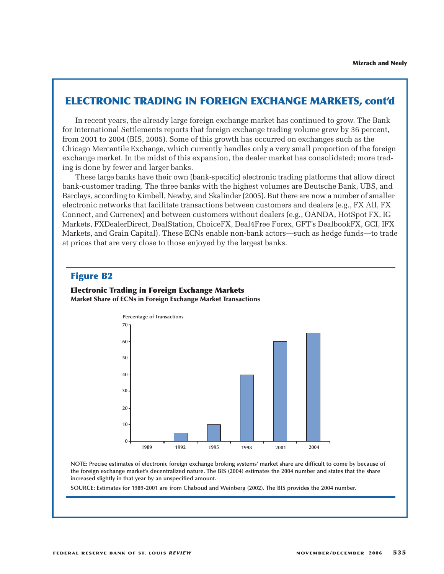# **ELECTRONIC TRADING IN FOREIGN EXCHANGE MARKETS, cont'd**

In recent years, the already large foreign exchange market has continued to grow. The Bank for International Settlements reports that foreign exchange trading volume grew by 36 percent, from 2001 to 2004 (BIS, 2005). Some of this growth has occurred on exchanges such as the Chicago Mercantile Exchange, which currently handles only a very small proportion of the foreign exchange market. In the midst of this expansion, the dealer market has consolidated; more trading is done by fewer and larger banks.

These large banks have their own (bank-specific) electronic trading platforms that allow direct bank-customer trading. The three banks with the highest volumes are Deutsche Bank, UBS, and Barclays, according to Kimbell, Newby, and Skalinder (2005). But there are now a number of smaller electronic networks that facilitate transactions between customers and dealers (e.g., FX All, FX Connect, and Currenex) and between customers without dealers (e.g., OANDA, HotSpot FX, IG Markets, FXDealerDirect, DealStation, ChoiceFX, Deal4Free Forex, GFT's DealbookFX, GCI, IFX Markets, and Grain Capital). These ECNs enable non-bank actors—such as hedge funds—to trade at prices that are very close to those enjoyed by the largest banks.

### **Figure B2**

**Electronic Trading in Foreign Exchange Markets Market Share of ECNs in Foreign Exchange Market Transactions**



**NOTE: Precise estimates of electronic foreign exchange broking systems' market share are difficult to come by because of the foreign exchange market's decentralized nature. The BIS (2004) estimates the 2004 number and states that the share increased slightly in that year by an unspecified amount.**

**SOURCE: Estimates for 1989-2001 are from Chaboud and Weinberg (2002). The BIS provides the 2004 number.**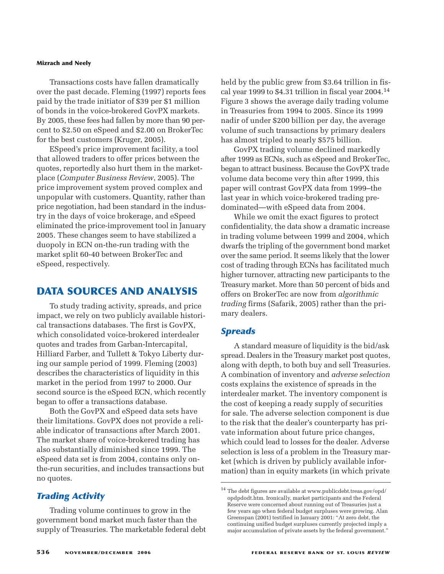Transactions costs have fallen dramatically over the past decade. Fleming (1997) reports fees paid by the trade initiator of \$39 per \$1 million of bonds in the voice-brokered GovPX markets. By 2005, these fees had fallen by more than 90 percent to \$2.50 on eSpeed and \$2.00 on BrokerTec for the best customers (Kruger, 2005).

ESpeed's price improvement facility, a tool that allowed traders to offer prices between the quotes, reportedly also hurt them in the marketplace (*Computer Business Review*, 2005). The price improvement system proved complex and unpopular with customers. Quantity, rather than price negotiation, had been standard in the industry in the days of voice brokerage, and eSpeed eliminated the price-improvement tool in January 2005. These changes seem to have stabilized a duopoly in ECN on-the-run trading with the market split 60-40 between BrokerTec and eSpeed, respectively.

# **DATA SOURCES AND ANALYSIS**

To study trading activity, spreads, and price impact, we rely on two publicly available historical transactions databases. The first is GovPX, which consolidated voice-brokered interdealer quotes and trades from Garban-Intercapital, Hilliard Farber, and Tullett & Tokyo Liberty during our sample period of 1999. Fleming (2003) describes the characteristics of liquidity in this market in the period from 1997 to 2000. Our second source is the eSpeed ECN, which recently began to offer a transactions database.

Both the GovPX and eSpeed data sets have their limitations. GovPX does not provide a reliable indicator of transactions after March 2001. The market share of voice-brokered trading has also substantially diminished since 1999. The eSpeed data set is from 2004, contains only onthe-run securities, and includes transactions but no quotes.

### *Trading Activity*

Trading volume continues to grow in the government bond market much faster than the supply of Treasuries. The marketable federal debt held by the public grew from \$3.64 trillion in fiscal year 1999 to \$4.31 trillion in fiscal year 2004.14 Figure 3 shows the average daily trading volume in Treasuries from 1994 to 2005. Since its 1999 nadir of under \$200 billion per day, the average volume of such transactions by primary dealers has almost tripled to nearly \$575 billion.

GovPX trading volume declined markedly after 1999 as ECNs, such as eSpeed and BrokerTec, began to attract business. Because the GovPX trade volume data become very thin after 1999, this paper will contrast GovPX data from 1999–the last year in which voice-brokered trading predominated—with eSpeed data from 2004.

While we omit the exact figures to protect confidentiality, the data show a dramatic increase in trading volume between 1999 and 2004, which dwarfs the tripling of the government bond market over the same period. It seems likely that the lower cost of trading through ECNs has facilitated much higher turnover, attracting new participants to the Treasury market. More than 50 percent of bids and offers on BrokerTec are now from *algorithmic trading* firms (Safarik, 2005) rather than the primary dealers.

### *Spreads*

A standard measure of liquidity is the bid/ask spread. Dealers in the Treasury market post quotes, along with depth, to both buy and sell Treasuries. A combination of inventory and *adverse selection* costs explains the existence of spreads in the interdealer market. The inventory component is the cost of keeping a ready supply of securities for sale. The adverse selection component is due to the risk that the dealer's counterparty has private information about future price changes, which could lead to losses for the dealer. Adverse selection is less of a problem in the Treasury market (which is driven by publicly available information) than in equity markets (in which private

 $^{14}$  The debt figures are available at www.publicdebt.treas.gov/opd/  $\,$ opdpdodt.htm. Ironically, market participants and the Federal Reserve were concerned about running out of Treasuries just a few years ago when federal budget surpluses were growing. Alan Greenspan (2001) testified in January 2001: "At zero debt, the continuing unified budget surpluses currently projected imply a major accumulation of private assets by the federal government."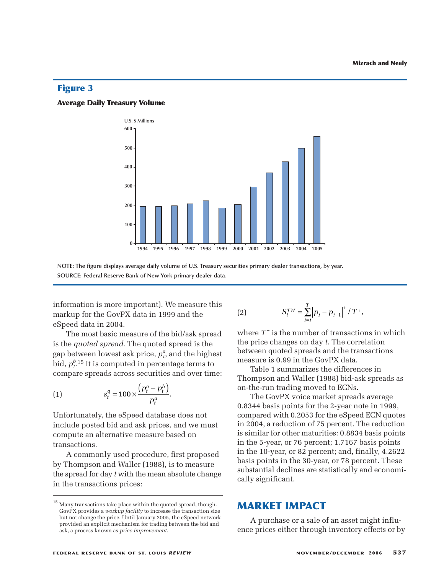### **Figure 3**

#### **Average Daily Treasury Volume**



**NOTE: The figure displays average daily volume of U.S. Treasury securities primary dealer transactions, by year. SOURCE: Federal Reserve Bank of New York primary dealer data.**

information is more important). We measure this markup for the GovPX data in 1999 and the eSpeed data in 2004.

The most basic measure of the bid/ask spread is the *quoted spread*. The quoted spread is the gap between lowest ask price,  $p_t^a$ , and the highest bid,  $p_t^{b}$ <sup>15</sup> It is computed in percentage terms to compare spreads across securities and over time: 2004.<br>asic measure of the pread. The quote<br>west ask price, *p*<br>computed in perc<br>ds across securitions<br> $s_t^q = 100 \times \frac{(p_t^q - p_t^q)}{q}$ *a* =  $\frac{a}{b}$  =  $\frac{b}{c}$  =  $\frac{b}{d}$  =  $\frac{c}{d}$  =  $\frac{a}{d}$  =  $\frac{a}{d}$  =  $\frac{a}{d}$  =  $\frac{a}{d}$  =  $\frac{b}{d}$  =  $\frac{b}{d}$  =  $\frac{b}{d}$  =  $\frac{b}{d}$  =  $\frac{b}{d}$  =  $\frac{b}{d}$  =  $\frac{b}{d}$  =  $\frac{b}{d}$  =  $\frac{b}{d}$  =  $\frac{b}{d}$  =

(1) 
$$
s_t^q = 100 \times \frac{\left(p_t^a - p_t^b\right)}{p_t^a}.
$$

Unfortunately, the eSpeed database does not include posted bid and ask prices, and we must compute an alternative measure based on transactions.

A commonly used procedure, first proposed by Thompson and Waller (1988), is to measure the spread for day *t* with the mean absolute change in the transactions prices:

2000 2001 2002 2003 2004 2005  
rities primary dealer transactions, by year.  
(2) 
$$
S_t^{TW} = \sum_{i=1}^{T} |p_i - p_{i-1}|^+ / T^+,
$$

where  $T^+$  is the number of transactions in which the price changes on day *t*. The correlation between quoted spreads and the transactions measure is 0.99 in the GovPX data.

Table 1 summarizes the differences in Thompson and Waller (1988) bid-ask spreads as on-the-run trading moved to ECNs.

The GovPX voice market spreads average 0.8344 basis points for the 2-year note in 1999, compared with 0.2053 for the eSpeed ECN quotes in 2004, a reduction of 75 percent. The reduction is similar for other maturities: 0.8834 basis points in the 5-year, or 76 percent; 1.7167 basis points in the 10-year, or 82 percent; and, finally, 4.2622 basis points in the 30-year, or 78 percent. These substantial declines are statistically and economically significant.

### **MARKET IMPACT**

A purchase or a sale of an asset might influence prices either through inventory effects or by

 $^{\rm 15}$  Many transactions take place within the quoted spread, though. GovPX provides a *workup facility* to increase the transaction size but not change the price. Until January 2005, the eSpeed network provided an explicit mechanism for trading between the bid and ask, a process known as *price improvement*.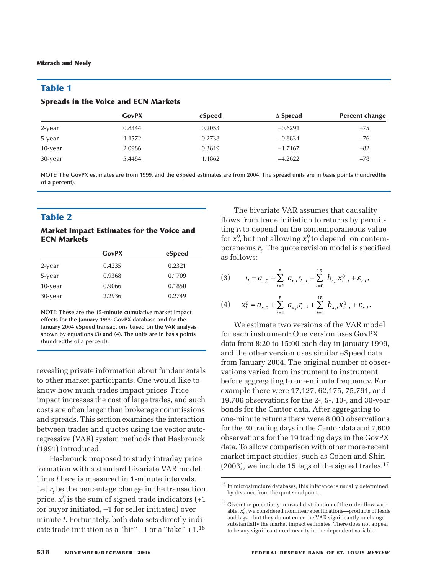### **Table 1**

#### **Spreads in the Voice and ECN Markets**

|            | <b>GovPX</b> | eSpeed | $\Delta$ Spread | <b>Percent change</b> |
|------------|--------------|--------|-----------------|-----------------------|
| 2-year     | 0.8344       | 0.2053 | $-0.6291$       | $-75$                 |
| 5-year     | 1.1572       | 0.2738 | $-0.8834$       | $-76$                 |
| $10$ -year | 2.0986       | 0.3819 | $-1.7167$       | $-82$                 |
| $30$ -year | 5.4484       | 1.1862 | $-4.2622$       | $-78$                 |

**NOTE: The GovPX estimates are from 1999, and the eSpeed estimates are from 2004. The spread units are in basis points (hundredths of a percent).**

### **Table 2**

#### **Market Impact Estimates for the Voice and ECN Markets**

|            | <b>GovPX</b> | eSpeed |
|------------|--------------|--------|
| $2$ -year  | 0.4235       | 0.2321 |
| 5-year     | 0.9368       | 0.1709 |
| $10$ -year | 0.9066       | 0.1850 |
| $30$ -year | 2.2936       | 0.2749 |

**NOTE: These are the 15-minute cumulative market impact effects for the January 1999 GovPX database and for the January 2004 eSpeed transactions based on the VAR analysis shown by equations (3) and (4). The units are in basis points (hundredths of a percent).**

revealing private information about fundamentals to other market participants. One would like to know how much trades impact prices. Price impact increases the cost of large trades, and such costs are often larger than brokerage commissions and spreads. This section examines the interaction between trades and quotes using the vector autoregressive (VAR) system methods that Hasbrouck (1991) introduced.

Hasbrouck proposed to study intraday price formation with a standard bivariate VAR model. Time *t* here is measured in 1-minute intervals. Let  $r_t$  be the percentage change in the transaction price.  $x_t^0$  is the sum of signed trade indicators (+1 for buyer initiated, –1 for seller initiated) over minute *t*. Fortunately, both data sets directly indicate trade initiation as a "hit" –1 or a "take" +1.16

The bivariate VAR assumes that causality flows from trade initiation to returns by permitting  $r_t$  to depend on the contemporaneous value for  $x_t^0$  but not allowing  $x_t^0$  to depend on contemporaneous *rt* . The quote revision model is specified as follows: *x* are bivariate VAR assumes that causal from trade initiation to returns by peroperation on the contemporaneous but not allowing  $x_i^0$  to depend on co eous  $r_t$ . The quote revision model is spows:<br>  $r_t = a_{r,0} + \sum_{i=1}$ between the UAR assumes that causal<br>
or trade initiation to returns by performed that causal<br>
depend on the contemporaneous<br>
that not allowing  $x_i^0$  to depend on contensing<br>  $x_i$ . The quote revision model is sp<br>  $x_i$ . Th *r* a 4.2622  $-7$ <br> *r* 2004. The spread units are in basis points (hun<br> *ro* **b** bivariate VAR assumes that causary<br> *ro* **depend on the contemporaneous**<br> **out not allowing**  $x_t^0$  **to depend on co<br>
<b>***xo r<sub>t</sub>***. T** 

$$
(3) \t r_{t} = a_{r,0} + \sum_{i=1}^{5} a_{r,i}r_{t-i} + \sum_{i=0}^{15} b_{r,i}x_{t-i}^{0} + \varepsilon_{r,t},
$$

$$
(4) \qquad x_{t}^{0}=a_{x,0}+\sum_{i=1}^{5}~a_{x,i}r_{t-i}+\sum_{i=1}^{15}~b_{x,i}x_{t-i}^{0}+\varepsilon_{x,t}.
$$

We estimate two versions of the VAR model for each instrument: One version uses GovPX data from 8:20 to 15:00 each day in January 1999, and the other version uses similar eSpeed data from January 2004. The original number of observations varied from instrument to instrument before aggregating to one-minute frequency. For example there were 17,127, 62,175, 75,791, and 19,706 observations for the 2-, 5-, 10-, and 30-year bonds for the Cantor data. After aggregating to one-minute returns there were 8,000 observations for the 20 trading days in the Cantor data and 7,600 observations for the 19 trading days in the GovPX data. To allow comparison with other more-recent market impact studies, such as Cohen and Shin  $(2003)$ , we include 15 lags of the signed trades.<sup>17</sup>

 $^{\rm 16}$  In microstructure databases, this inference is usually determined by distance from the quote midpoint.

 $^{\rm 17}$  Given the potentially unusual distribution of the order flow variable,  $x_t^0$ , we considered nonlinear specifications—products of leads and lags—but they do not enter the VAR significantly or change substantially the market impact estimates. There does not appear to be any significant nonlinearity in the dependent variable.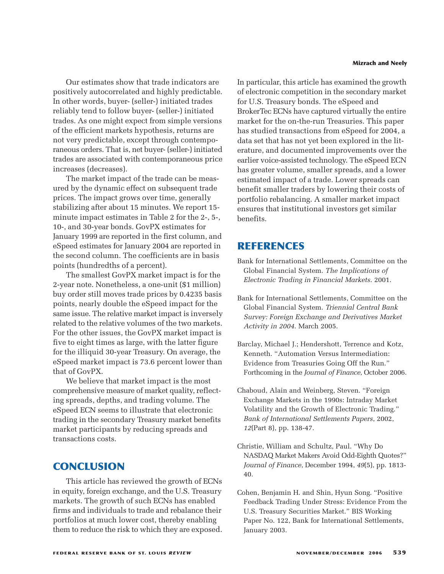Our estimates show that trade indicators are positively autocorrelated and highly predictable. In other words, buyer- (seller-) initiated trades reliably tend to follow buyer- (seller-) initiated trades. As one might expect from simple versions of the efficient markets hypothesis, returns are not very predictable, except through contemporaneous orders. That is, net buyer- (seller-) initiated trades are associated with contemporaneous price increases (decreases).

The market impact of the trade can be measured by the dynamic effect on subsequent trade prices. The impact grows over time, generally stabilizing after about 15 minutes. We report 15 minute impact estimates in Table 2 for the 2-, 5-, 10-, and 30-year bonds. GovPX estimates for January 1999 are reported in the first column, and eSpeed estimates for January 2004 are reported in the second column. The coefficients are in basis points (hundredths of a percent).

The smallest GovPX market impact is for the 2-year note. Nonetheless, a one-unit (\$1 million) buy order still moves trade prices by 0.4235 basis points, nearly double the eSpeed impact for the same issue. The relative market impact is inversely related to the relative volumes of the two markets. For the other issues, the GovPX market impact is five to eight times as large, with the latter figure for the illiquid 30-year Treasury. On average, the eSpeed market impact is 73.6 percent lower than that of GovPX.

We believe that market impact is the most comprehensive measure of market quality, reflecting spreads, depths, and trading volume. The eSpeed ECN seems to illustrate that electronic trading in the secondary Treasury market benefits market participants by reducing spreads and transactions costs.

# **CONCLUSION**

This article has reviewed the growth of ECNs in equity, foreign exchange, and the U.S. Treasury markets. The growth of such ECNs has enabled firms and individuals to trade and rebalance their portfolios at much lower cost, thereby enabling them to reduce the risk to which they are exposed.

In particular, this article has examined the growth of electronic competition in the secondary market for U.S. Treasury bonds. The eSpeed and BrokerTec ECNs have captured virtually the entire market for the on-the-run Treasuries. This paper has studied transactions from eSpeed for 2004, a data set that has not yet been explored in the literature, and documented improvements over the earlier voice-assisted technology. The eSpeed ECN has greater volume, smaller spreads, and a lower estimated impact of a trade. Lower spreads can benefit smaller traders by lowering their costs of portfolio rebalancing. A smaller market impact ensures that institutional investors get similar benefits.

## **REFERENCES**

- Bank for International Settlements, Committee on the Global Financial System. *The Implications of Electronic Trading in Financial Markets*. 2001.
- Bank for International Settlements, Committee on the Global Financial System. *Triennial Central Bank Survey: Foreign Exchange and Derivatives Market Activity in 2004*. March 2005.
- Barclay, Michael J.; Hendershott, Terrence and Kotz, Kenneth. "Automation Versus Intermediation: Evidence from Treasuries Going Off the Run." Forthcoming in the *Journal of Finance*, October 2006.
- Chaboud, Alain and Weinberg, Steven. "Foreign Exchange Markets in the 1990s: Intraday Market Volatility and the Growth of Electronic Trading." *Bank of International Settlements Papers*, 2002, *12*(Part 8), pp. 138-47.
- Christie, William and Schultz, Paul. "Why Do NASDAQ Market Makers Avoid Odd-Eighth Quotes?" *Journal of Finance*, December 1994, *49*(5), pp. 1813- 40.
- Cohen, Benjamin H. and Shin, Hyun Song. "Positive Feedback Trading Under Stress: Evidence From the U.S. Treasury Securities Market." BIS Working Paper No. 122, Bank for International Settlements, January 2003.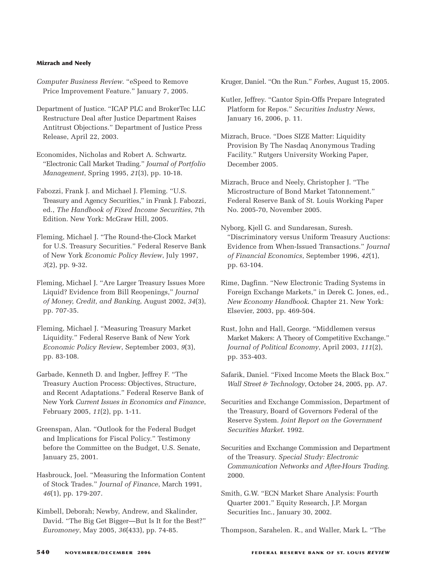- *Computer Business Review*. "eSpeed to Remove Price Improvement Feature." January 7, 2005.
- Department of Justice. "ICAP PLC and BrokerTec LLC Restructure Deal after Justice Department Raises Antitrust Objections." Department of Justice Press Release, April 22, 2003.
- Economides, Nicholas and Robert A. Schwartz. "Electronic Call Market Trading." *Journal of Portfolio Management*, Spring 1995, *21*(3), pp. 10-18.
- Fabozzi, Frank J. and Michael J. Fleming. "U.S. Treasury and Agency Securities," in Frank J. Fabozzi, ed., *The Handbook of Fixed Income Securities*, 7th Edition. New York: McGraw Hill, 2005.
- Fleming, Michael J. "The Round-the-Clock Market for U.S. Treasury Securities." Federal Reserve Bank of New York *Economic Policy Review*, July 1997, *3*(2), pp. 9-32.
- Fleming, Michael J. "Are Larger Treasury Issues More Liquid? Evidence from Bill Reopenings," *Journal of Money, Credit, and Banking*, August 2002, *34*(3), pp. 707-35.
- Fleming, Michael J. "Measuring Treasury Market Liquidity." Federal Reserve Bank of New York *Economic Policy Review*, September 2003, *9*(3), pp. 83-108.
- Garbade, Kenneth D. and Ingber, Jeffrey F. "The Treasury Auction Process: Objectives, Structure, and Recent Adaptations." Federal Reserve Bank of New York *Current Issues in Economics and Finance*, February 2005, *11*(2), pp. 1-11.
- Greenspan, Alan. "Outlook for the Federal Budget and Implications for Fiscal Policy." Testimony before the Committee on the Budget, U.S. Senate, January 25, 2001.
- Hasbrouck, Joel. "Measuring the Information Content of Stock Trades." *Journal of Finance*, March 1991, *46*(1), pp. 179-207.
- Kimbell, Deborah; Newby, Andrew, and Skalinder, David. "The Big Get Bigger—But Is It for the Best?" *Euromoney*, May 2005, *36*(433), pp. 74-85.

Kruger, Daniel. "On the Run." *Forbes*, August 15, 2005.

- Kutler, Jeffrey. "Cantor Spin-Offs Prepare Integrated Platform for Repos." *Securities Industry News*, January 16, 2006, p. 11.
- Mizrach, Bruce. "Does SIZE Matter: Liquidity Provision By The Nasdaq Anonymous Trading Facility." Rutgers University Working Paper, December 2005.
- Mizrach, Bruce and Neely, Christopher J. "The Microstructure of Bond Market Tatonnement." Federal Reserve Bank of St. Louis Working Paper No. 2005-70, November 2005.
- Nyborg, Kjell G. and Sundaresan, Suresh. "Discriminatory versus Uniform Treasury Auctions: Evidence from When-Issued Transactions." *Journal of Financial Economics*, September 1996, *42*(1), pp. 63-104.
- Rime, Dagfinn. "New Electronic Trading Systems in Foreign Exchange Markets," in Derek C. Jones, ed., *New Economy Handbook*. Chapter 21. New York: Elsevier, 2003, pp. 469-504.
- Rust, John and Hall, George. "Middlemen versus Market Makers: A Theory of Competitive Exchange." *Journal of Political Economy*, April 2003, *111*(2), pp. 353-403.
- Safarik, Daniel. "Fixed Income Meets the Black Box." *Wall Street & Technology*, October 24, 2005, pp. A7.
- Securities and Exchange Commission, Department of the Treasury, Board of Governors Federal of the Reserve System. *Joint Report on the Government Securities Market*. 1992.
- Securities and Exchange Commission and Department of the Treasury. *Special Study: Electronic Communication Networks and After-Hours Trading*. 2000.
- Smith, G.W. "ECN Market Share Analysis: Fourth Quarter 2001." Equity Research, J.P. Morgan Securities Inc., January 30, 2002.
- Thompson, Sarahelen. R., and Waller, Mark L. "The